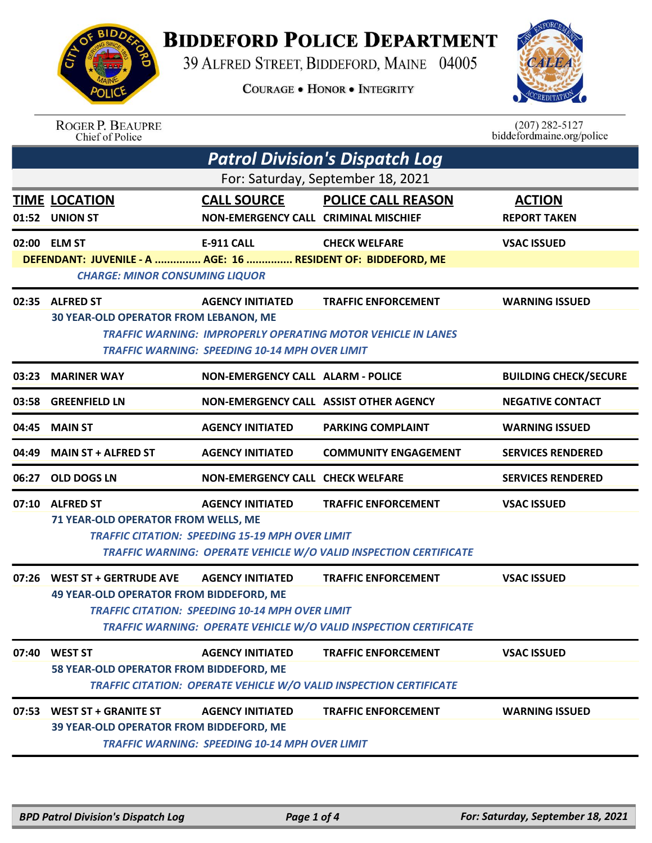

## **BIDDEFORD POLICE DEPARTMENT**

39 ALFRED STREET, BIDDEFORD, MAINE 04005

**COURAGE . HONOR . INTEGRITY** 



| <b>ROGER P. BEAUPRE</b> |
|-------------------------|
| Chief of Police         |

 $(207)$  282-5127 biddefordmaine.org/police

| <b>Patrol Division's Dispatch Log</b> |                                                                                                       |                                                        |                                                                     |                              |  |  |
|---------------------------------------|-------------------------------------------------------------------------------------------------------|--------------------------------------------------------|---------------------------------------------------------------------|------------------------------|--|--|
| For: Saturday, September 18, 2021     |                                                                                                       |                                                        |                                                                     |                              |  |  |
|                                       | <b>TIME LOCATION</b>                                                                                  | <b>CALL SOURCE</b>                                     | <b>POLICE CALL REASON</b>                                           | <b>ACTION</b>                |  |  |
|                                       | 01:52 UNION ST                                                                                        | NON-EMERGENCY CALL CRIMINAL MISCHIEF                   |                                                                     | <b>REPORT TAKEN</b>          |  |  |
|                                       | 02:00 ELM ST                                                                                          | <b>E-911 CALL</b>                                      | <b>CHECK WELFARE</b>                                                | <b>VSAC ISSUED</b>           |  |  |
|                                       | DEFENDANT: JUVENILE - A  AGE: 16  RESIDENT OF: BIDDEFORD, ME<br><b>CHARGE: MINOR CONSUMING LIQUOR</b> |                                                        |                                                                     |                              |  |  |
|                                       |                                                                                                       |                                                        |                                                                     |                              |  |  |
|                                       | 02:35 ALFRED ST<br><b>30 YEAR-OLD OPERATOR FROM LEBANON, ME</b>                                       | <b>AGENCY INITIATED</b>                                | <b>TRAFFIC ENFORCEMENT</b>                                          | <b>WARNING ISSUED</b>        |  |  |
|                                       |                                                                                                       |                                                        | <b>TRAFFIC WARNING: IMPROPERLY OPERATING MOTOR VEHICLE IN LANES</b> |                              |  |  |
|                                       | <b>TRAFFIC WARNING: SPEEDING 10-14 MPH OVER LIMIT</b>                                                 |                                                        |                                                                     |                              |  |  |
|                                       | 03:23 MARINER WAY                                                                                     | <b>NON-EMERGENCY CALL ALARM - POLICE</b>               |                                                                     | <b>BUILDING CHECK/SECURE</b> |  |  |
| 03:58                                 | <b>GREENFIELD LN</b>                                                                                  | NON-EMERGENCY CALL ASSIST OTHER AGENCY                 |                                                                     | <b>NEGATIVE CONTACT</b>      |  |  |
| 04:45                                 | <b>MAIN ST</b>                                                                                        | <b>AGENCY INITIATED</b>                                | <b>PARKING COMPLAINT</b>                                            | <b>WARNING ISSUED</b>        |  |  |
| 04:49                                 | <b>MAIN ST + ALFRED ST</b>                                                                            | <b>AGENCY INITIATED</b>                                | <b>COMMUNITY ENGAGEMENT</b>                                         | <b>SERVICES RENDERED</b>     |  |  |
| 06:27                                 | <b>OLD DOGS LN</b>                                                                                    | <b>NON-EMERGENCY CALL CHECK WELFARE</b>                |                                                                     | <b>SERVICES RENDERED</b>     |  |  |
|                                       | 07:10 ALFRED ST                                                                                       | <b>AGENCY INITIATED</b>                                | <b>TRAFFIC ENFORCEMENT</b>                                          | <b>VSAC ISSUED</b>           |  |  |
|                                       | 71 YEAR-OLD OPERATOR FROM WELLS, ME                                                                   |                                                        |                                                                     |                              |  |  |
|                                       |                                                                                                       | <b>TRAFFIC CITATION: SPEEDING 15-19 MPH OVER LIMIT</b> | TRAFFIC WARNING: OPERATE VEHICLE W/O VALID INSPECTION CERTIFICATE   |                              |  |  |
|                                       |                                                                                                       |                                                        |                                                                     |                              |  |  |
|                                       | 07:26 WEST ST + GERTRUDE AVE<br><b>49 YEAR-OLD OPERATOR FROM BIDDEFORD, ME</b>                        | <b>AGENCY INITIATED</b>                                | <b>TRAFFIC ENFORCEMENT</b>                                          | <b>VSAC ISSUED</b>           |  |  |
|                                       |                                                                                                       | <b>TRAFFIC CITATION: SPEEDING 10-14 MPH OVER LIMIT</b> |                                                                     |                              |  |  |
|                                       | TRAFFIC WARNING: OPERATE VEHICLE W/O VALID INSPECTION CERTIFICATE                                     |                                                        |                                                                     |                              |  |  |
|                                       | 07:40 WEST ST                                                                                         | <b>AGENCY INITIATED</b>                                | <b>TRAFFIC ENFORCEMENT</b>                                          | <b>VSAC ISSUED</b>           |  |  |
|                                       | 58 YEAR-OLD OPERATOR FROM BIDDEFORD, ME                                                               |                                                        |                                                                     |                              |  |  |
|                                       |                                                                                                       |                                                        | TRAFFIC CITATION: OPERATE VEHICLE W/O VALID INSPECTION CERTIFICATE  |                              |  |  |
| 07:53                                 | <b>WEST ST + GRANITE ST</b>                                                                           | <b>AGENCY INITIATED</b>                                | <b>TRAFFIC ENFORCEMENT</b>                                          | <b>WARNING ISSUED</b>        |  |  |
|                                       | 39 YEAR-OLD OPERATOR FROM BIDDEFORD, ME                                                               |                                                        |                                                                     |                              |  |  |
|                                       |                                                                                                       | <b>TRAFFIC WARNING: SPEEDING 10-14 MPH OVER LIMIT</b>  |                                                                     |                              |  |  |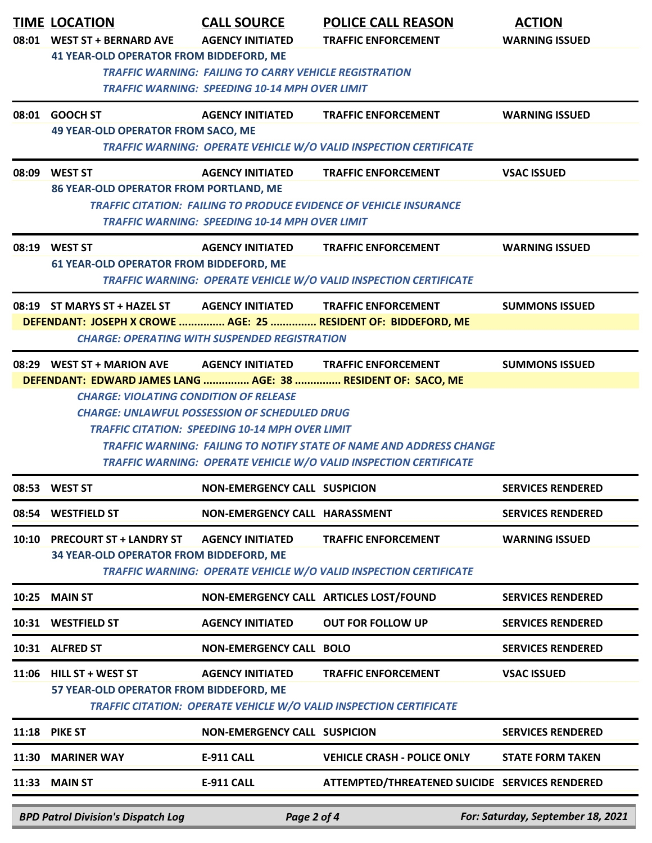|                                                                                                               | <b>TIME LOCATION</b>                                                                                                               | <b>CALL SOURCE</b>                                     | <b>POLICE CALL REASON</b>                                                  | <b>ACTION</b>            |  |  |
|---------------------------------------------------------------------------------------------------------------|------------------------------------------------------------------------------------------------------------------------------------|--------------------------------------------------------|----------------------------------------------------------------------------|--------------------------|--|--|
|                                                                                                               | 08:01 WEST ST + BERNARD AVE                                                                                                        | <b>AGENCY INITIATED</b>                                | <b>TRAFFIC ENFORCEMENT</b>                                                 | <b>WARNING ISSUED</b>    |  |  |
|                                                                                                               | <b>41 YEAR-OLD OPERATOR FROM BIDDEFORD, ME</b>                                                                                     |                                                        |                                                                            |                          |  |  |
|                                                                                                               | <b>TRAFFIC WARNING: FAILING TO CARRY VEHICLE REGISTRATION</b><br><b>TRAFFIC WARNING: SPEEDING 10-14 MPH OVER LIMIT</b>             |                                                        |                                                                            |                          |  |  |
|                                                                                                               |                                                                                                                                    |                                                        |                                                                            |                          |  |  |
|                                                                                                               | 08:01 GOOCH ST<br><b>49 YEAR-OLD OPERATOR FROM SACO, ME</b>                                                                        | AGENCY INITIATED                                       | <b>TRAFFIC ENFORCEMENT</b>                                                 | <b>WARNING ISSUED</b>    |  |  |
|                                                                                                               |                                                                                                                                    |                                                        | TRAFFIC WARNING: OPERATE VEHICLE W/O VALID INSPECTION CERTIFICATE          |                          |  |  |
|                                                                                                               | 08:09 WEST ST                                                                                                                      | <b>AGENCY INITIATED</b>                                | <b>TRAFFIC ENFORCEMENT</b>                                                 | <b>VSAC ISSUED</b>       |  |  |
|                                                                                                               | <b>86 YEAR-OLD OPERATOR FROM PORTLAND, ME</b>                                                                                      |                                                        |                                                                            |                          |  |  |
|                                                                                                               | <b>TRAFFIC CITATION: FAILING TO PRODUCE EVIDENCE OF VEHICLE INSURANCE</b><br><b>TRAFFIC WARNING: SPEEDING 10-14 MPH OVER LIMIT</b> |                                                        |                                                                            |                          |  |  |
|                                                                                                               | 08:19 WEST ST                                                                                                                      | <b>AGENCY INITIATED</b>                                | <b>TRAFFIC ENFORCEMENT</b>                                                 | <b>WARNING ISSUED</b>    |  |  |
|                                                                                                               | <b>61 YEAR-OLD OPERATOR FROM BIDDEFORD, ME</b>                                                                                     |                                                        |                                                                            |                          |  |  |
|                                                                                                               |                                                                                                                                    |                                                        | <b>TRAFFIC WARNING: OPERATE VEHICLE W/O VALID INSPECTION CERTIFICATE</b>   |                          |  |  |
|                                                                                                               | 08:19 ST MARYS ST + HAZEL ST AGENCY INITIATED TRAFFIC ENFORCEMENT                                                                  |                                                        |                                                                            | <b>SUMMONS ISSUED</b>    |  |  |
|                                                                                                               |                                                                                                                                    |                                                        | DEFENDANT: JOSEPH X CROWE  AGE: 25  RESIDENT OF: BIDDEFORD, ME             |                          |  |  |
|                                                                                                               |                                                                                                                                    | <b>CHARGE: OPERATING WITH SUSPENDED REGISTRATION</b>   |                                                                            |                          |  |  |
|                                                                                                               | 08:29 WEST ST + MARION AVE                                                                                                         | <b>AGENCY INITIATED</b>                                | <b>TRAFFIC ENFORCEMENT</b>                                                 | <b>SUMMONS ISSUED</b>    |  |  |
|                                                                                                               | DEFENDANT: EDWARD JAMES LANG  AGE: 38  RESIDENT OF: SACO, ME<br><b>CHARGE: VIOLATING CONDITION OF RELEASE</b>                      |                                                        |                                                                            |                          |  |  |
|                                                                                                               |                                                                                                                                    | <b>CHARGE: UNLAWFUL POSSESSION OF SCHEDULED DRUG</b>   |                                                                            |                          |  |  |
|                                                                                                               |                                                                                                                                    | <b>TRAFFIC CITATION: SPEEDING 10-14 MPH OVER LIMIT</b> |                                                                            |                          |  |  |
|                                                                                                               |                                                                                                                                    |                                                        | <b>TRAFFIC WARNING: FAILING TO NOTIFY STATE OF NAME AND ADDRESS CHANGE</b> |                          |  |  |
|                                                                                                               |                                                                                                                                    |                                                        | <b>TRAFFIC WARNING: OPERATE VEHICLE W/O VALID INSPECTION CERTIFICATE</b>   |                          |  |  |
|                                                                                                               | 08:53 WEST ST                                                                                                                      | <b>NON-EMERGENCY CALL SUSPICION</b>                    |                                                                            | <b>SERVICES RENDERED</b> |  |  |
|                                                                                                               | 08:54 WESTFIELD ST                                                                                                                 | NON-EMERGENCY CALL HARASSMENT                          |                                                                            | <b>SERVICES RENDERED</b> |  |  |
| 10:10                                                                                                         | <b>PRECOURT ST + LANDRY ST</b>                                                                                                     | <b>AGENCY INITIATED</b>                                | <b>TRAFFIC ENFORCEMENT</b>                                                 | <b>WARNING ISSUED</b>    |  |  |
|                                                                                                               | 34 YEAR-OLD OPERATOR FROM BIDDEFORD, ME                                                                                            |                                                        |                                                                            |                          |  |  |
|                                                                                                               |                                                                                                                                    |                                                        | TRAFFIC WARNING: OPERATE VEHICLE W/O VALID INSPECTION CERTIFICATE          |                          |  |  |
| 10:25                                                                                                         | <b>MAIN ST</b>                                                                                                                     |                                                        | NON-EMERGENCY CALL ARTICLES LOST/FOUND                                     | <b>SERVICES RENDERED</b> |  |  |
|                                                                                                               | 10:31 WESTFIELD ST                                                                                                                 | <b>AGENCY INITIATED</b>                                | <b>OUT FOR FOLLOW UP</b>                                                   | <b>SERVICES RENDERED</b> |  |  |
|                                                                                                               | 10:31 ALFRED ST                                                                                                                    | <b>NON-EMERGENCY CALL BOLO</b>                         |                                                                            | <b>SERVICES RENDERED</b> |  |  |
|                                                                                                               | 11:06 HILL ST + WEST ST                                                                                                            | <b>AGENCY INITIATED</b>                                | <b>TRAFFIC ENFORCEMENT</b>                                                 | <b>VSAC ISSUED</b>       |  |  |
| 57 YEAR-OLD OPERATOR FROM BIDDEFORD, ME<br>TRAFFIC CITATION: OPERATE VEHICLE W/O VALID INSPECTION CERTIFICATE |                                                                                                                                    |                                                        |                                                                            |                          |  |  |
|                                                                                                               | <b>11:18 PIKE ST</b>                                                                                                               | <b>NON-EMERGENCY CALL SUSPICION</b>                    |                                                                            | <b>SERVICES RENDERED</b> |  |  |
| 11:30                                                                                                         | <b>MARINER WAY</b>                                                                                                                 | <b>E-911 CALL</b>                                      | <b>VEHICLE CRASH - POLICE ONLY</b>                                         | <b>STATE FORM TAKEN</b>  |  |  |
| 11:33                                                                                                         | <b>MAIN ST</b>                                                                                                                     | <b>E-911 CALL</b>                                      | ATTEMPTED/THREATENED SUICIDE SERVICES RENDERED                             |                          |  |  |
| For: Saturday, September 18, 2021<br><b>BPD Patrol Division's Dispatch Log</b><br>Page 2 of 4                 |                                                                                                                                    |                                                        |                                                                            |                          |  |  |
|                                                                                                               |                                                                                                                                    |                                                        |                                                                            |                          |  |  |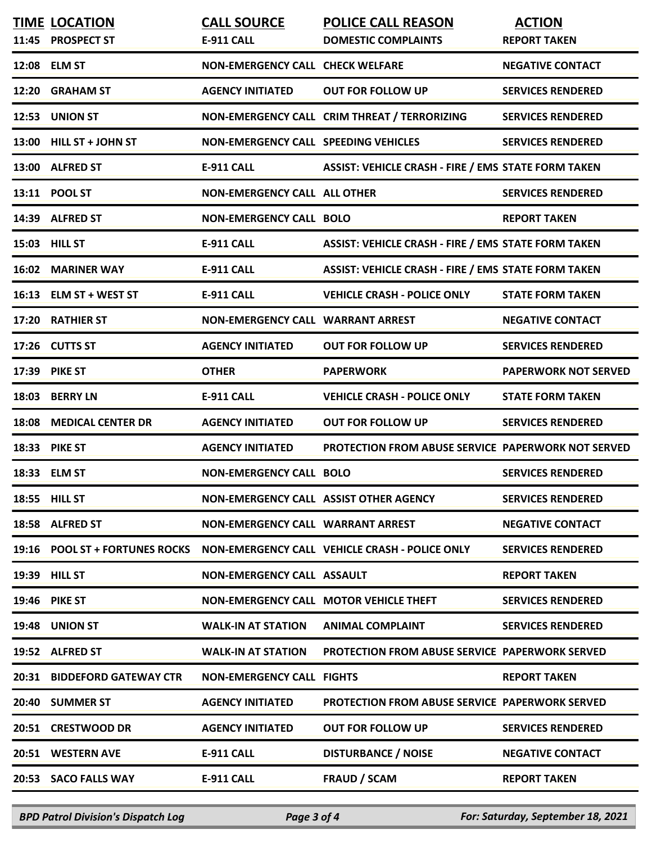|       | <b>TIME LOCATION</b>           | <b>CALL SOURCE</b>                          | <b>POLICE CALL REASON</b>                                  | <b>ACTION</b>               |
|-------|--------------------------------|---------------------------------------------|------------------------------------------------------------|-----------------------------|
|       | 11:45 PROSPECT ST              | E-911 CALL                                  | <b>DOMESTIC COMPLAINTS</b>                                 | <b>REPORT TAKEN</b>         |
|       | 12:08 ELM ST                   | NON-EMERGENCY CALL CHECK WELFARE            |                                                            | <b>NEGATIVE CONTACT</b>     |
| 12:20 | <b>GRAHAM ST</b>               | <b>AGENCY INITIATED</b>                     | <b>OUT FOR FOLLOW UP</b>                                   | <b>SERVICES RENDERED</b>    |
|       | 12:53 UNION ST                 |                                             | NON-EMERGENCY CALL CRIM THREAT / TERRORIZING               | <b>SERVICES RENDERED</b>    |
|       | 13:00 HILL ST + JOHN ST        | <b>NON-EMERGENCY CALL SPEEDING VEHICLES</b> |                                                            | <b>SERVICES RENDERED</b>    |
|       | 13:00 ALFRED ST                | <b>E-911 CALL</b>                           | <b>ASSIST: VEHICLE CRASH - FIRE / EMS STATE FORM TAKEN</b> |                             |
|       | 13:11 POOL ST                  | <b>NON-EMERGENCY CALL ALL OTHER</b>         |                                                            | <b>SERVICES RENDERED</b>    |
|       | 14:39 ALFRED ST                | <b>NON-EMERGENCY CALL BOLO</b>              |                                                            | <b>REPORT TAKEN</b>         |
|       | 15:03 HILL ST                  | <b>E-911 CALL</b>                           | <b>ASSIST: VEHICLE CRASH - FIRE / EMS STATE FORM TAKEN</b> |                             |
| 16:02 | <b>MARINER WAY</b>             | <b>E-911 CALL</b>                           | <b>ASSIST: VEHICLE CRASH - FIRE / EMS STATE FORM TAKEN</b> |                             |
|       | 16:13 ELM ST + WEST ST         | <b>E-911 CALL</b>                           | <b>VEHICLE CRASH - POLICE ONLY</b>                         | <b>STATE FORM TAKEN</b>     |
| 17:20 | <b>RATHIER ST</b>              | NON-EMERGENCY CALL WARRANT ARREST           |                                                            | <b>NEGATIVE CONTACT</b>     |
|       | 17:26 CUTTS ST                 | <b>AGENCY INITIATED</b>                     | <b>OUT FOR FOLLOW UP</b>                                   | <b>SERVICES RENDERED</b>    |
| 17:39 | <b>PIKE ST</b>                 | <b>OTHER</b>                                | <b>PAPERWORK</b>                                           | <b>PAPERWORK NOT SERVED</b> |
| 18:03 | <b>BERRY LN</b>                | <b>E-911 CALL</b>                           | <b>VEHICLE CRASH - POLICE ONLY</b>                         | <b>STATE FORM TAKEN</b>     |
| 18:08 | <b>MEDICAL CENTER DR</b>       | <b>AGENCY INITIATED</b>                     | <b>OUT FOR FOLLOW UP</b>                                   | <b>SERVICES RENDERED</b>    |
|       | <b>18:33 PIKE ST</b>           | <b>AGENCY INITIATED</b>                     | <b>PROTECTION FROM ABUSE SERVICE PAPERWORK NOT SERVED</b>  |                             |
|       | 18:33 ELM ST                   | <b>NON-EMERGENCY CALL BOLO</b>              |                                                            | <b>SERVICES RENDERED</b>    |
|       | 18:55 HILL ST                  | NON-EMERGENCY CALL ASSIST OTHER AGENCY      |                                                            | <b>SERVICES RENDERED</b>    |
|       | 18:58 ALFRED ST                | <b>NON-EMERGENCY CALL WARRANT ARREST</b>    |                                                            | <b>NEGATIVE CONTACT</b>     |
|       | 19:16 POOL ST + FORTUNES ROCKS |                                             | NON-EMERGENCY CALL VEHICLE CRASH - POLICE ONLY             | <b>SERVICES RENDERED</b>    |
|       | 19:39 HILL ST                  | <b>NON-EMERGENCY CALL ASSAULT</b>           |                                                            | <b>REPORT TAKEN</b>         |
|       | 19:46 PIKE ST                  |                                             | NON-EMERGENCY CALL MOTOR VEHICLE THEFT                     | <b>SERVICES RENDERED</b>    |
|       | 19:48 UNION ST                 | <b>WALK-IN AT STATION</b>                   | <b>ANIMAL COMPLAINT</b>                                    | <b>SERVICES RENDERED</b>    |
|       | 19:52 ALFRED ST                | <b>WALK-IN AT STATION</b>                   | <b>PROTECTION FROM ABUSE SERVICE PAPERWORK SERVED</b>      |                             |
|       | 20:31 BIDDEFORD GATEWAY CTR    | <b>NON-EMERGENCY CALL FIGHTS</b>            |                                                            | <b>REPORT TAKEN</b>         |
|       | 20:40 SUMMER ST                | <b>AGENCY INITIATED</b>                     | <b>PROTECTION FROM ABUSE SERVICE PAPERWORK SERVED</b>      |                             |
|       | 20:51 CRESTWOOD DR             | <b>AGENCY INITIATED</b>                     | <b>OUT FOR FOLLOW UP</b>                                   | <b>SERVICES RENDERED</b>    |
|       | 20:51 WESTERN AVE              | <b>E-911 CALL</b>                           | <b>DISTURBANCE / NOISE</b>                                 | <b>NEGATIVE CONTACT</b>     |
|       | 20:53 SACO FALLS WAY           | <b>E-911 CALL</b>                           | <b>FRAUD / SCAM</b>                                        | <b>REPORT TAKEN</b>         |
|       |                                |                                             |                                                            |                             |

*BPD Patrol Division's Dispatch Log Page 3 of 4 For: Saturday, September 18, 2021*